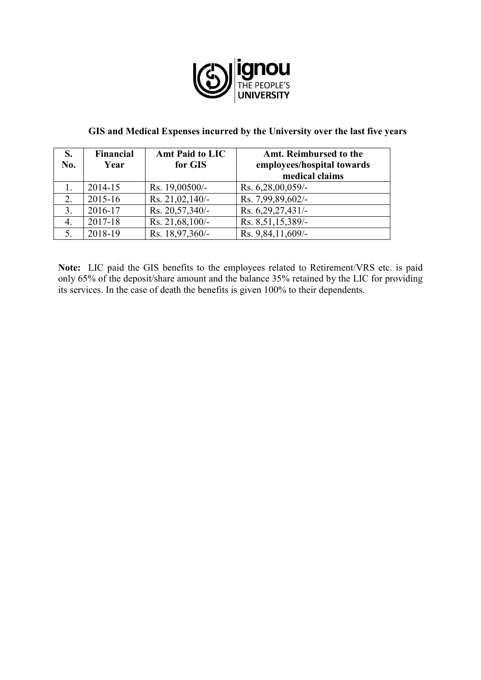

## **GIS and Medical Expenses incurred by the University over the last five years**

| <b>S.</b> | Financial | <b>Amt Paid to LIC</b> | Amt. Reimbursed to the     |
|-----------|-----------|------------------------|----------------------------|
| No.       | Year      | for GIS                | employees/hospital towards |
|           |           |                        | medical claims             |
|           | 2014-15   | Rs. 19,00500/-         | Rs. 6,28,00,059/-          |
| 2.        | 2015-16   | Rs. 21,02,140/-        | Rs. 7,99,89,602/-          |
| 3.        | 2016-17   | Rs. 20,57,340/-        | Rs. 6,29,27,431/-          |
| 4.        | 2017-18   | Rs. 21,68,100/-        | Rs. 8,51,15,389/-          |
| 5.        | 2018-19   | Rs. 18,97,360/-        | Rs. 9,84,11,609/-          |

**Note:** LIC paid the GIS benefits to the employees related to Retirement/VRS etc. is paid only 65% of the deposit/share amount and the balance 35% retained by the LIC for providing its services. In the case of death the benefits is given 100% to their dependents.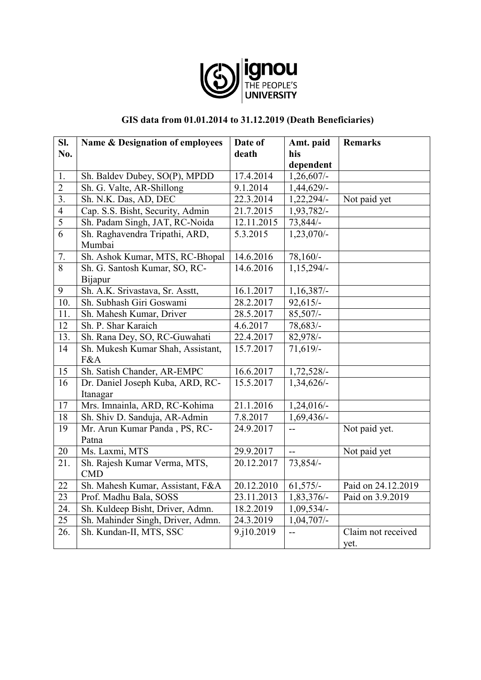

## **GIS data from 01.01.2014 to 31.12.2019 (Death Beneficiaries)**

| SI.                  | Name & Designation of employees            | Date of    | Amt. paid                | <b>Remarks</b>     |
|----------------------|--------------------------------------------|------------|--------------------------|--------------------|
| No.                  |                                            | death      | his                      |                    |
|                      |                                            |            | dependent                |                    |
| 1.                   | Sh. Baldev Dubey, SO(P), MPDD              | 17.4.2014  | $1,26,607/-$             |                    |
| $\overline{2}$       | Sh. G. Valte, AR-Shillong                  | 9.1.2014   | 1,44,629/-               |                    |
| $\overline{3}$ .     | Sh. N.K. Das, AD, DEC                      | 22.3.2014  | 1,22,294/-               | Not paid yet       |
| $\overline{4}$       | Cap. S.S. Bisht, Security, Admin           | 21.7.2015  | 1,93,782/-               |                    |
| $\overline{5}$       | Sh. Padam Singh, JAT, RC-Noida             | 12.11.2015 | 73,844/-                 |                    |
| 6                    | Sh. Raghavendra Tripathi, ARD,             | 5.3.2015   | 1,23,070/-               |                    |
|                      | Mumbai                                     |            |                          |                    |
| 7.<br>$\overline{8}$ | Sh. Ashok Kumar, MTS, RC-Bhopal            | 14.6.2016  | 78,160/                  |                    |
|                      | Sh. G. Santosh Kumar, SO, RC-<br>Bijapur   | 14.6.2016  | 1,15,294/-               |                    |
| 9                    | Sh. A.K. Srivastava, Sr. Asstt,            | 16.1.2017  | 1,16,387/-               |                    |
| 10.                  | Sh. Subhash Giri Goswami                   | 28.2.2017  | $92,615/-$               |                    |
| 11.                  | Sh. Mahesh Kumar, Driver                   | 28.5.2017  | $85,507/-$               |                    |
| 12                   | Sh. P. Shar Karaich                        | 4.6.2017   | 78,683/-                 |                    |
| 13.                  | Sh. Rana Dey, SO, RC-Guwahati              | 22.4.2017  | 82,978/-                 |                    |
| 14                   | Sh. Mukesh Kumar Shah, Assistant,          | 15.7.2017  | 71,619/                  |                    |
|                      | F&A                                        |            |                          |                    |
| 15                   | Sh. Satish Chander, AR-EMPC                | 16.6.2017  | 1,72,528/                |                    |
| 16                   | Dr. Daniel Joseph Kuba, ARD, RC-           | 15.5.2017  | $1,34,626/-$             |                    |
|                      | Itanagar                                   |            |                          |                    |
| 17                   | Mrs. Imnainla, ARD, RC-Kohima              | 21.1.2016  | $1,24,016/-$             |                    |
| $18\,$               | Sh. Shiv D. Sanduja, AR-Admin              | 7.8.2017   | 1,69,436/-               |                    |
| 19                   | Mr. Arun Kumar Panda, PS, RC-              | 24.9.2017  | --                       | Not paid yet.      |
|                      | Patna                                      |            |                          |                    |
| 20                   | Ms. Laxmi, MTS                             | 29.9.2017  | $\overline{\phantom{a}}$ | Not paid yet       |
| 21.                  | Sh. Rajesh Kumar Verma, MTS,<br><b>CMD</b> | 20.12.2017 | $73,854/-$               |                    |
| 22                   | Sh. Mahesh Kumar, Assistant, F&A           | 20.12.2010 | $61,575/-$               | Paid on 24.12.2019 |
| 23                   | Prof. Madhu Bala, SOSS                     | 23.11.2013 | $1,83,376/$ -            | Paid on 3.9.2019   |
| 24.                  | Sh. Kuldeep Bisht, Driver, Admn.           | 18.2.2019  | 1,09,534/-               |                    |
| $\overline{25}$      | Sh. Mahinder Singh, Driver, Admn.          | 24.3.2019  | $1,04,707/-$             |                    |
| 26.                  | Sh. Kundan-II, MTS, SSC                    | 9.j10.2019 | --                       | Claim not received |
|                      |                                            |            |                          | yet.               |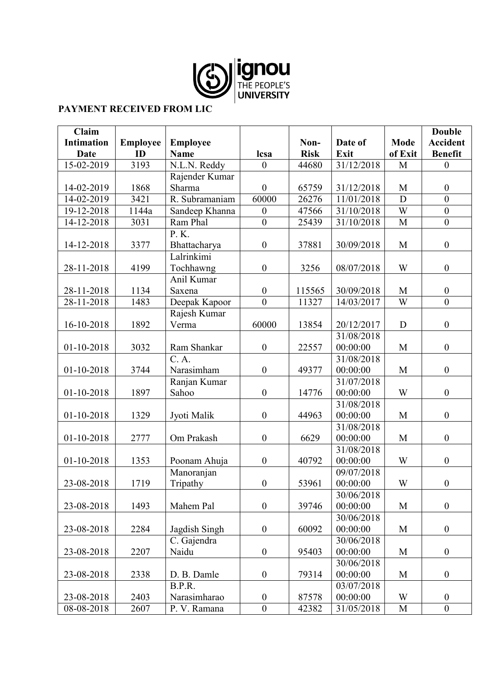

## **PAYMENT RECEIVED FROM LIC**

| Claim             |                 |                 |                  |             |                         |             | <b>Double</b>    |
|-------------------|-----------------|-----------------|------------------|-------------|-------------------------|-------------|------------------|
| <b>Intimation</b> | <b>Employee</b> | <b>Employee</b> |                  | Non-        | Date of                 | <b>Mode</b> | <b>Accident</b>  |
| Date              | ID              | <b>Name</b>     | <b>lcsa</b>      | <b>Risk</b> | Exit                    | of Exit     | <b>Benefit</b>   |
| 15-02-2019        | 3193            | N.L.N. Reddy    | $\overline{0}$   | 44680       | 31/12/2018              | M           | $\boldsymbol{0}$ |
|                   |                 | Rajender Kumar  |                  |             |                         |             |                  |
| 14-02-2019        | 1868            | Sharma          | $\boldsymbol{0}$ | 65759       | 31/12/2018              | M           | $\boldsymbol{0}$ |
| 14-02-2019        | 3421            | R. Subramaniam  | 60000            | 26276       | $\overline{11/01/2018}$ | D           | $\boldsymbol{0}$ |
| 19-12-2018        | 1144a           | Sandeep Khanna  | $\boldsymbol{0}$ | 47566       | 31/10/2018              | W           | $\overline{0}$   |
| 14-12-2018        | 3031            | Ram Phal        | $\boldsymbol{0}$ | 25439       | 31/10/2018              | $\mathbf M$ | $\boldsymbol{0}$ |
|                   |                 | P.K.            |                  |             |                         |             |                  |
| 14-12-2018        | 3377            | Bhattacharya    | $\boldsymbol{0}$ | 37881       | 30/09/2018              | M           | $\boldsymbol{0}$ |
|                   |                 | Lalrinkimi      |                  |             |                         |             |                  |
| 28-11-2018        | 4199            | Tochhawng       | $\boldsymbol{0}$ | 3256        | 08/07/2018              | W           | $\boldsymbol{0}$ |
|                   |                 | Anil Kumar      |                  |             |                         |             |                  |
| 28-11-2018        | 1134            | Saxena          | $\boldsymbol{0}$ | 115565      | 30/09/2018              | $\mathbf M$ | $\boldsymbol{0}$ |
| 28-11-2018        | 1483            | Deepak Kapoor   | $\overline{0}$   | 11327       | 14/03/2017              | W           | $\overline{0}$   |
|                   |                 | Rajesh Kumar    |                  |             |                         |             |                  |
| 16-10-2018        | 1892            | Verma           | 60000            | 13854       | 20/12/2017              | D           | $\boldsymbol{0}$ |
|                   |                 |                 |                  |             | 31/08/2018              |             |                  |
| $01 - 10 - 2018$  | 3032            | Ram Shankar     | $\boldsymbol{0}$ | 22557       | 00:00:00                | M           | $\boldsymbol{0}$ |
|                   |                 | C. A.           |                  |             | 31/08/2018              |             |                  |
| $01 - 10 - 2018$  | 3744            | Narasimham      | $\boldsymbol{0}$ | 49377       | 00:00:00                | M           | $\boldsymbol{0}$ |
|                   |                 | Ranjan Kumar    |                  |             | 31/07/2018              |             |                  |
| 01-10-2018        | 1897            | Sahoo           | $\boldsymbol{0}$ | 14776       | 00:00:00                | W           | $\boldsymbol{0}$ |
|                   |                 |                 |                  |             | 31/08/2018              |             |                  |
| $01 - 10 - 2018$  | 1329            | Jyoti Malik     | $\boldsymbol{0}$ | 44963       | 00:00:00                | M           | $\boldsymbol{0}$ |
|                   |                 |                 |                  |             | 31/08/2018              |             |                  |
| $01 - 10 - 2018$  | 2777            | Om Prakash      | $\boldsymbol{0}$ | 6629        | 00:00:00                | M           | $\boldsymbol{0}$ |
|                   |                 |                 |                  |             | 31/08/2018              |             |                  |
| 01-10-2018        | 1353            | Poonam Ahuja    | $\boldsymbol{0}$ | 40792       | 00:00:00                | W           | $\boldsymbol{0}$ |
|                   |                 | Manoranjan      |                  |             | 09/07/2018              |             |                  |
| 23-08-2018        | 1719            | Tripathy        | $\boldsymbol{0}$ | 53961       | 00:00:00                | W           | $\boldsymbol{0}$ |
|                   |                 |                 |                  |             | 30/06/2018              |             |                  |
| 23-08-2018        | 1493            | Mahem Pal       | $\boldsymbol{0}$ | 39746       | 00:00:00                | M           | $\boldsymbol{0}$ |
|                   |                 |                 |                  |             | 30/06/2018              |             |                  |
| 23-08-2018        | 2284            | Jagdish Singh   | $\boldsymbol{0}$ | 60092       | 00:00:00                | M           | $\boldsymbol{0}$ |
|                   |                 | C. Gajendra     |                  |             | 30/06/2018              |             |                  |
| 23-08-2018        | 2207            | Naidu           | $\boldsymbol{0}$ | 95403       | 00:00:00                | M           | $\boldsymbol{0}$ |
|                   |                 |                 |                  |             | 30/06/2018              |             |                  |
| 23-08-2018        | 2338            | D. B. Damle     | $\boldsymbol{0}$ | 79314       | 00:00:00                | M           | $\boldsymbol{0}$ |
|                   |                 | B.P.R.          |                  |             | 03/07/2018              |             |                  |
| 23-08-2018        | 2403            | Narasimharao    | $\boldsymbol{0}$ | 87578       | 00:00:00                | W           | $\boldsymbol{0}$ |
| 08-08-2018        | 2607            | P. V. Ramana    | $\boldsymbol{0}$ | 42382       | 31/05/2018              | $\mathbf M$ | $\boldsymbol{0}$ |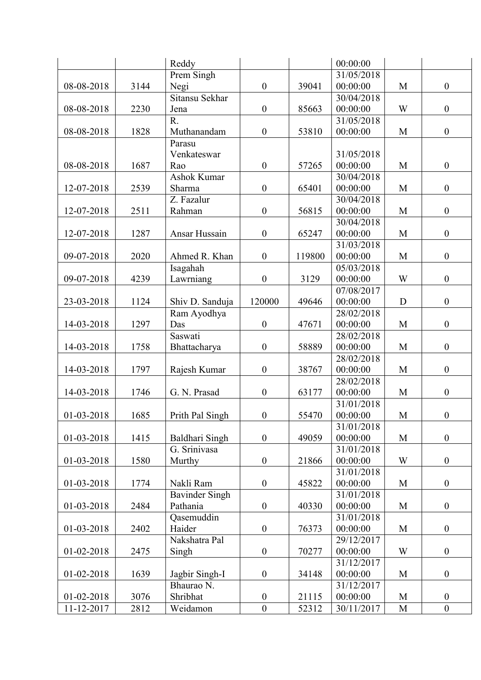|            |      | Reddy                 |                  |        | 00:00:00               |   |                  |
|------------|------|-----------------------|------------------|--------|------------------------|---|------------------|
|            |      | Prem Singh            |                  |        | 31/05/2018             |   |                  |
| 08-08-2018 | 3144 | Negi                  | $\boldsymbol{0}$ | 39041  | 00:00:00               | M | $\boldsymbol{0}$ |
|            |      | Sitansu Sekhar        |                  |        | 30/04/2018             |   |                  |
| 08-08-2018 | 2230 | Jena                  | $\boldsymbol{0}$ | 85663  | 00:00:00               | W | $\boldsymbol{0}$ |
|            |      | R.                    |                  |        | 31/05/2018             |   |                  |
| 08-08-2018 | 1828 | Muthanandam           | $\boldsymbol{0}$ | 53810  | 00:00:00               | M | $\boldsymbol{0}$ |
|            |      | Parasu                |                  |        |                        |   |                  |
|            |      | Venkateswar           |                  |        | 31/05/2018             |   |                  |
| 08-08-2018 | 1687 | Rao                   | $\boldsymbol{0}$ | 57265  | 00:00:00               | M | $\boldsymbol{0}$ |
|            |      | Ashok Kumar           |                  |        | 30/04/2018             |   |                  |
| 12-07-2018 | 2539 | Sharma                | $\boldsymbol{0}$ | 65401  | 00:00:00               | M | $\boldsymbol{0}$ |
|            |      | Z. Fazalur            |                  |        | 30/04/2018             |   |                  |
| 12-07-2018 | 2511 | Rahman                | $\boldsymbol{0}$ | 56815  | 00:00:00               | M | $\boldsymbol{0}$ |
|            |      |                       |                  |        | 30/04/2018             |   |                  |
| 12-07-2018 | 1287 | Ansar Hussain         | $\boldsymbol{0}$ | 65247  | 00:00:00               | M | $\boldsymbol{0}$ |
|            |      |                       |                  |        | 31/03/2018             |   |                  |
| 09-07-2018 | 2020 | Ahmed R. Khan         | $\boldsymbol{0}$ | 119800 | 00:00:00               | M | $\boldsymbol{0}$ |
|            |      | Isagahah              |                  |        | 05/03/2018             |   |                  |
| 09-07-2018 | 4239 | Lawrniang             | $\boldsymbol{0}$ | 3129   | 00:00:00               | W | $\boldsymbol{0}$ |
|            |      |                       |                  |        | 07/08/2017             |   |                  |
| 23-03-2018 | 1124 | Shiv D. Sanduja       | 120000           | 49646  | 00:00:00               | D | $\boldsymbol{0}$ |
|            |      | Ram Ayodhya           |                  |        | 28/02/2018             |   |                  |
| 14-03-2018 | 1297 | Das                   | $\boldsymbol{0}$ | 47671  | 00:00:00               | M | $\boldsymbol{0}$ |
|            |      | Saswati               |                  |        | 28/02/2018             |   |                  |
| 14-03-2018 | 1758 | Bhattacharya          | $\boldsymbol{0}$ | 58889  | 00:00:00               | M | $\boldsymbol{0}$ |
|            |      |                       |                  |        | 28/02/2018             |   |                  |
| 14-03-2018 | 1797 | Rajesh Kumar          | $\boldsymbol{0}$ | 38767  | 00:00:00               | M | $\boldsymbol{0}$ |
|            |      |                       |                  |        | 28/02/2018             |   |                  |
| 14-03-2018 | 1746 | G. N. Prasad          | $\boldsymbol{0}$ | 63177  | 00:00:00               | M | $\boldsymbol{0}$ |
|            |      |                       |                  |        | 31/01/2018<br>00:00:00 |   |                  |
| 01-03-2018 | 1685 | Prith Pal Singh       | $\boldsymbol{0}$ | 55470  | 31/01/2018             | M | $\boldsymbol{0}$ |
| 01-03-2018 | 1415 | Baldhari Singh        | $\boldsymbol{0}$ | 49059  | 00:00:00               | M | $\boldsymbol{0}$ |
|            |      | G. Srinivasa          |                  |        | 31/01/2018             |   |                  |
| 01-03-2018 | 1580 | Murthy                | $\boldsymbol{0}$ | 21866  | 00:00:00               | W | $\boldsymbol{0}$ |
|            |      |                       |                  |        | 31/01/2018             |   |                  |
| 01-03-2018 | 1774 | Nakli Ram             | $\boldsymbol{0}$ | 45822  | 00:00:00               | M | $\boldsymbol{0}$ |
|            |      | <b>Bavinder Singh</b> |                  |        | 31/01/2018             |   |                  |
| 01-03-2018 | 2484 | Pathania              | $\boldsymbol{0}$ | 40330  | 00:00:00               | M | $\boldsymbol{0}$ |
|            |      | Qasemuddin            |                  |        | 31/01/2018             |   |                  |
| 01-03-2018 | 2402 | Haider                | $\boldsymbol{0}$ | 76373  | 00:00:00               | M | $\boldsymbol{0}$ |
|            |      | Nakshatra Pal         |                  |        | 29/12/2017             |   |                  |
| 01-02-2018 | 2475 | Singh                 | $\boldsymbol{0}$ | 70277  | 00:00:00               | W | $\boldsymbol{0}$ |
|            |      |                       |                  |        | 31/12/2017             |   |                  |
| 01-02-2018 | 1639 | Jagbir Singh-I        | $\boldsymbol{0}$ | 34148  | 00:00:00               | M | $\boldsymbol{0}$ |
|            |      | Bhaurao N.            |                  |        | 31/12/2017             |   |                  |
| 01-02-2018 | 3076 | Shribhat              | $\boldsymbol{0}$ | 21115  | 00:00:00               | M | $\boldsymbol{0}$ |
| 11-12-2017 | 2812 | Weidamon              | $\mathbf{0}$     | 52312  | 30/11/2017             | M | $\boldsymbol{0}$ |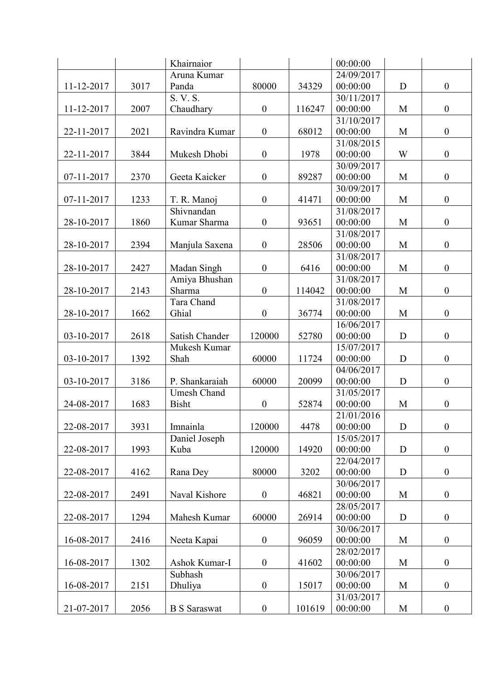|            |      | Khairnaior          |                  |        | 00:00:00   |   |                  |
|------------|------|---------------------|------------------|--------|------------|---|------------------|
|            |      | Aruna Kumar         |                  |        | 24/09/2017 |   |                  |
| 11-12-2017 | 3017 | Panda               | 80000            | 34329  | 00:00:00   | D | $\boldsymbol{0}$ |
|            |      | S. V. S.            |                  |        | 30/11/2017 |   |                  |
| 11-12-2017 | 2007 | Chaudhary           | $\boldsymbol{0}$ | 116247 | 00:00:00   | M | $\boldsymbol{0}$ |
|            |      |                     |                  |        | 31/10/2017 |   |                  |
| 22-11-2017 | 2021 | Ravindra Kumar      | $\boldsymbol{0}$ | 68012  | 00:00:00   | M | $\boldsymbol{0}$ |
|            |      |                     |                  |        | 31/08/2015 |   |                  |
| 22-11-2017 | 3844 | Mukesh Dhobi        | $\boldsymbol{0}$ | 1978   | 00:00:00   | W | $\boldsymbol{0}$ |
|            |      |                     |                  |        | 30/09/2017 |   |                  |
| 07-11-2017 | 2370 | Geeta Kaicker       | $\boldsymbol{0}$ | 89287  | 00:00:00   | M | $\boldsymbol{0}$ |
|            |      |                     |                  |        | 30/09/2017 |   |                  |
| 07-11-2017 | 1233 | T. R. Manoj         | $\boldsymbol{0}$ | 41471  | 00:00:00   | M | $\boldsymbol{0}$ |
|            |      | Shivnandan          |                  |        | 31/08/2017 |   |                  |
| 28-10-2017 | 1860 | Kumar Sharma        | $\boldsymbol{0}$ | 93651  | 00:00:00   | M | $\boldsymbol{0}$ |
|            |      |                     |                  |        | 31/08/2017 |   |                  |
| 28-10-2017 | 2394 | Manjula Saxena      | $\boldsymbol{0}$ | 28506  | 00:00:00   | M | $\boldsymbol{0}$ |
|            |      |                     |                  |        | 31/08/2017 |   |                  |
| 28-10-2017 | 2427 | Madan Singh         | $\boldsymbol{0}$ | 6416   | 00:00:00   | M | $\boldsymbol{0}$ |
|            |      | Amiya Bhushan       |                  |        | 31/08/2017 |   |                  |
| 28-10-2017 | 2143 | Sharma              | $\boldsymbol{0}$ | 114042 | 00:00:00   | M | $\boldsymbol{0}$ |
|            |      | Tara Chand          |                  |        | 31/08/2017 |   |                  |
|            |      |                     | $\boldsymbol{0}$ |        |            |   |                  |
| 28-10-2017 | 1662 | Ghial               |                  | 36774  | 00:00:00   | M | $\boldsymbol{0}$ |
|            |      |                     |                  |        | 16/06/2017 |   |                  |
| 03-10-2017 | 2618 | Satish Chander      | 120000           | 52780  | 00:00:00   | D | $\boldsymbol{0}$ |
|            |      | Mukesh Kumar        |                  |        | 15/07/2017 |   |                  |
| 03-10-2017 | 1392 | Shah                | 60000            | 11724  | 00:00:00   | D | $\boldsymbol{0}$ |
|            |      |                     |                  |        | 04/06/2017 |   |                  |
| 03-10-2017 | 3186 | P. Shankaraiah      | 60000            | 20099  | 00:00:00   | D | $\boldsymbol{0}$ |
|            |      | Umesh Chand         |                  |        | 31/05/2017 |   |                  |
| 24-08-2017 | 1683 | <b>Bisht</b>        | $\boldsymbol{0}$ | 52874  | 00:00:00   | M | $\boldsymbol{0}$ |
|            |      |                     |                  |        | 21/01/2016 |   |                  |
| 22-08-2017 | 3931 | Imnainla            | 120000           | 4478   | 00:00:00   | D | $\boldsymbol{0}$ |
|            |      | Daniel Joseph       |                  |        | 15/05/2017 |   |                  |
| 22-08-2017 | 1993 | Kuba                | 120000           | 14920  | 00:00:00   | D | $\boldsymbol{0}$ |
|            |      |                     |                  |        | 22/04/2017 |   |                  |
| 22-08-2017 | 4162 | Rana Dey            | 80000            | 3202   | 00:00:00   | D | $\boldsymbol{0}$ |
|            |      |                     |                  |        | 30/06/2017 |   |                  |
| 22-08-2017 | 2491 | Naval Kishore       | $\boldsymbol{0}$ | 46821  | 00:00:00   | M | $\boldsymbol{0}$ |
|            |      |                     |                  |        | 28/05/2017 |   |                  |
| 22-08-2017 | 1294 | Mahesh Kumar        | 60000            | 26914  | 00:00:00   | D | $\boldsymbol{0}$ |
|            |      |                     |                  |        | 30/06/2017 |   |                  |
| 16-08-2017 | 2416 | Neeta Kapai         | $\boldsymbol{0}$ | 96059  | 00:00:00   | M | $\boldsymbol{0}$ |
|            |      |                     |                  |        | 28/02/2017 |   |                  |
| 16-08-2017 | 1302 | Ashok Kumar-I       | $\boldsymbol{0}$ | 41602  | 00:00:00   | M | $\boldsymbol{0}$ |
|            |      | Subhash             |                  |        | 30/06/2017 |   |                  |
| 16-08-2017 | 2151 | Dhuliya             | $\boldsymbol{0}$ | 15017  | 00:00:00   | M | $\boldsymbol{0}$ |
|            |      |                     |                  |        | 31/03/2017 |   |                  |
| 21-07-2017 | 2056 | <b>B</b> S Saraswat | $\boldsymbol{0}$ | 101619 | 00:00:00   | M | $\boldsymbol{0}$ |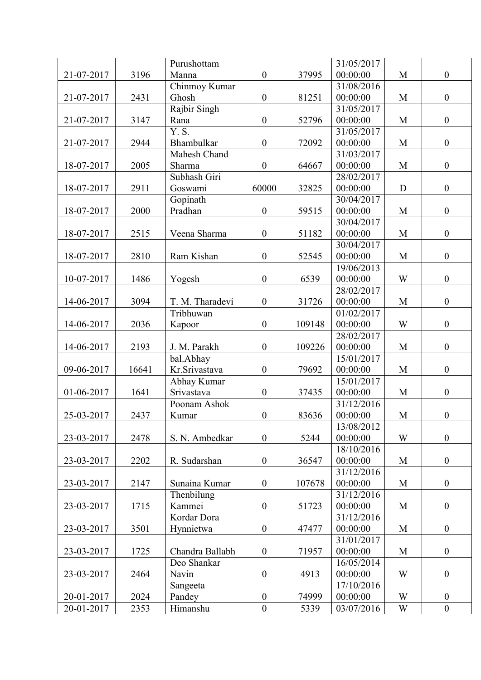|            |       | Purushottam     |                  |        | 31/05/2017 |             |                  |
|------------|-------|-----------------|------------------|--------|------------|-------------|------------------|
| 21-07-2017 | 3196  | Manna           | $\boldsymbol{0}$ | 37995  | 00:00:00   | M           | $\boldsymbol{0}$ |
|            |       | Chinmoy Kumar   |                  |        | 31/08/2016 |             |                  |
| 21-07-2017 | 2431  | Ghosh           | $\boldsymbol{0}$ | 81251  | 00:00:00   | M           | $\boldsymbol{0}$ |
|            |       | Rajbir Singh    |                  |        | 31/05/2017 |             |                  |
| 21-07-2017 | 3147  | Rana            | $\boldsymbol{0}$ | 52796  | 00:00:00   | $\mathbf M$ | $\boldsymbol{0}$ |
|            |       | Y. S.           |                  |        | 31/05/2017 |             |                  |
| 21-07-2017 | 2944  | Bhambulkar      | $\boldsymbol{0}$ | 72092  | 00:00:00   | M           | $\boldsymbol{0}$ |
|            |       | Mahesh Chand    |                  |        | 31/03/2017 |             |                  |
| 18-07-2017 | 2005  | Sharma          | $\boldsymbol{0}$ | 64667  | 00:00:00   | M           | $\boldsymbol{0}$ |
|            |       | Subhash Giri    |                  |        | 28/02/2017 |             |                  |
| 18-07-2017 | 2911  | Goswami         | 60000            | 32825  | 00:00:00   | $\mathbf D$ | $\boldsymbol{0}$ |
|            |       | Gopinath        |                  |        | 30/04/2017 |             |                  |
| 18-07-2017 | 2000  | Pradhan         | $\boldsymbol{0}$ | 59515  | 00:00:00   | M           | $\boldsymbol{0}$ |
|            |       |                 |                  |        | 30/04/2017 |             |                  |
| 18-07-2017 | 2515  | Veena Sharma    | $\boldsymbol{0}$ | 51182  | 00:00:00   | M           | $\boldsymbol{0}$ |
|            |       |                 |                  |        | 30/04/2017 |             |                  |
| 18-07-2017 | 2810  | Ram Kishan      | $\boldsymbol{0}$ | 52545  | 00:00:00   | M           | $\boldsymbol{0}$ |
|            |       |                 |                  |        | 19/06/2013 |             |                  |
| 10-07-2017 | 1486  | Yogesh          | $\boldsymbol{0}$ | 6539   | 00:00:00   | W           | $\boldsymbol{0}$ |
|            |       |                 |                  |        | 28/02/2017 |             |                  |
| 14-06-2017 | 3094  | T. M. Tharadevi | $\boldsymbol{0}$ | 31726  | 00:00:00   | M           | $\boldsymbol{0}$ |
|            |       | Tribhuwan       |                  |        | 01/02/2017 |             |                  |
| 14-06-2017 | 2036  | Kapoor          | $\boldsymbol{0}$ | 109148 | 00:00:00   | W           | $\boldsymbol{0}$ |
|            |       |                 |                  |        | 28/02/2017 |             |                  |
| 14-06-2017 | 2193  | J. M. Parakh    | $\boldsymbol{0}$ | 109226 | 00:00:00   | M           | $\boldsymbol{0}$ |
|            |       | bal.Abhay       |                  |        | 15/01/2017 |             |                  |
| 09-06-2017 | 16641 | Kr.Srivastava   | $\boldsymbol{0}$ | 79692  | 00:00:00   | M           | $\boldsymbol{0}$ |
|            |       | Abhay Kumar     |                  |        | 15/01/2017 |             |                  |
| 01-06-2017 | 1641  | Srivastava      | $\boldsymbol{0}$ | 37435  | 00:00:00   | M           | $\boldsymbol{0}$ |
|            |       | Poonam Ashok    |                  |        | 31/12/2016 |             |                  |
| 25-03-2017 | 2437  | Kumar           | $\boldsymbol{0}$ | 83636  | 00:00:00   | $\mathbf M$ | $\boldsymbol{0}$ |
|            |       |                 |                  |        | 13/08/2012 |             |                  |
| 23-03-2017 | 2478  | S. N. Ambedkar  | $\boldsymbol{0}$ | 5244   | 00:00:00   | W           | $\boldsymbol{0}$ |
|            |       |                 |                  |        | 18/10/2016 |             |                  |
| 23-03-2017 | 2202  | R. Sudarshan    | $\boldsymbol{0}$ | 36547  | 00:00:00   | M           | $\boldsymbol{0}$ |
|            |       |                 |                  |        | 31/12/2016 |             |                  |
| 23-03-2017 | 2147  | Sunaina Kumar   | $\boldsymbol{0}$ | 107678 | 00:00:00   | M           | $\boldsymbol{0}$ |
|            |       | Thenbilung      |                  |        | 31/12/2016 |             |                  |
| 23-03-2017 | 1715  | Kammei          | $\boldsymbol{0}$ | 51723  | 00:00:00   | M           | $\boldsymbol{0}$ |
|            |       | Kordar Dora     |                  |        | 31/12/2016 |             |                  |
| 23-03-2017 | 3501  | Hynnietwa       | $\boldsymbol{0}$ | 47477  | 00:00:00   | M           | $\boldsymbol{0}$ |
|            |       |                 |                  |        | 31/01/2017 |             |                  |
| 23-03-2017 | 1725  | Chandra Ballabh | $\boldsymbol{0}$ | 71957  | 00:00:00   | M           | $\boldsymbol{0}$ |
|            |       | Deo Shankar     |                  |        | 16/05/2014 |             |                  |
| 23-03-2017 | 2464  | Navin           | $\boldsymbol{0}$ | 4913   | 00:00:00   | W           | $\boldsymbol{0}$ |
|            |       | Sangeeta        |                  |        | 17/10/2016 |             |                  |
| 20-01-2017 | 2024  | Pandey          | $\boldsymbol{0}$ | 74999  | 00:00:00   | W           | $\boldsymbol{0}$ |
| 20-01-2017 | 2353  | Himanshu        | $\boldsymbol{0}$ | 5339   | 03/07/2016 | W           | $\boldsymbol{0}$ |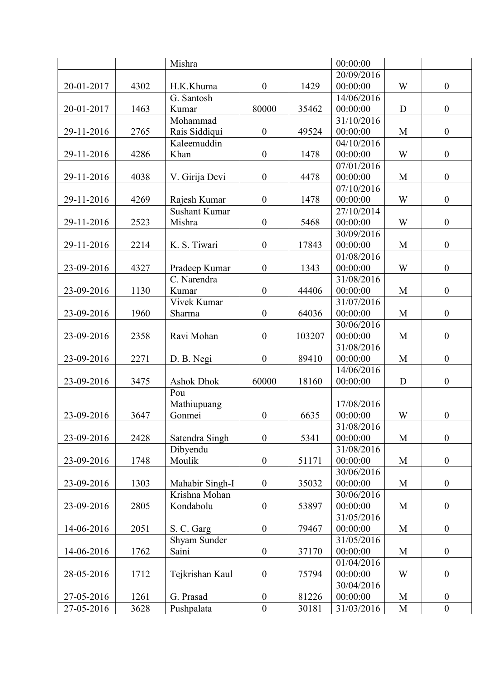|            |      | Mishra               |                  |        | 00:00:00   |             |                  |
|------------|------|----------------------|------------------|--------|------------|-------------|------------------|
|            |      |                      |                  |        | 20/09/2016 |             |                  |
| 20-01-2017 | 4302 | H.K.Khuma            | $\boldsymbol{0}$ | 1429   | 00:00:00   | W           | $\boldsymbol{0}$ |
|            |      | G. Santosh           |                  |        | 14/06/2016 |             |                  |
| 20-01-2017 | 1463 | Kumar                | 80000            | 35462  | 00:00:00   | D           | $\boldsymbol{0}$ |
|            |      | Mohammad             |                  |        | 31/10/2016 |             |                  |
| 29-11-2016 | 2765 | Rais Siddiqui        | $\boldsymbol{0}$ | 49524  | 00:00:00   | M           | $\boldsymbol{0}$ |
|            |      | Kaleemuddin          |                  |        | 04/10/2016 |             |                  |
| 29-11-2016 | 4286 | Khan                 | $\boldsymbol{0}$ | 1478   | 00:00:00   | W           | $\boldsymbol{0}$ |
|            |      |                      |                  |        | 07/01/2016 |             |                  |
| 29-11-2016 | 4038 | V. Girija Devi       | $\boldsymbol{0}$ | 4478   | 00:00:00   | $\mathbf M$ | $\boldsymbol{0}$ |
|            |      |                      |                  |        | 07/10/2016 |             |                  |
| 29-11-2016 | 4269 | Rajesh Kumar         | $\boldsymbol{0}$ | 1478   | 00:00:00   | W           | $\boldsymbol{0}$ |
|            |      | <b>Sushant Kumar</b> |                  |        | 27/10/2014 |             |                  |
| 29-11-2016 | 2523 | Mishra               | $\boldsymbol{0}$ | 5468   | 00:00:00   | W           | $\boldsymbol{0}$ |
|            |      |                      |                  |        | 30/09/2016 |             |                  |
| 29-11-2016 | 2214 | K. S. Tiwari         | $\boldsymbol{0}$ | 17843  | 00:00:00   | M           | $\boldsymbol{0}$ |
|            |      |                      |                  |        | 01/08/2016 |             |                  |
| 23-09-2016 | 4327 | Pradeep Kumar        | $\boldsymbol{0}$ | 1343   | 00:00:00   | W           | $\boldsymbol{0}$ |
|            |      | C. Narendra          |                  |        | 31/08/2016 |             |                  |
| 23-09-2016 | 1130 | Kumar                | $\boldsymbol{0}$ | 44406  | 00:00:00   | M           | $\boldsymbol{0}$ |
|            |      | Vivek Kumar          |                  |        | 31/07/2016 |             |                  |
| 23-09-2016 | 1960 | Sharma               | $\boldsymbol{0}$ | 64036  | 00:00:00   | M           | $\boldsymbol{0}$ |
|            |      |                      |                  |        | 30/06/2016 |             |                  |
| 23-09-2016 | 2358 | Ravi Mohan           | $\boldsymbol{0}$ | 103207 | 00:00:00   | M           | $\boldsymbol{0}$ |
|            |      |                      |                  |        | 31/08/2016 |             |                  |
| 23-09-2016 | 2271 | D. B. Negi           | $\boldsymbol{0}$ | 89410  | 00:00:00   | M           | $\boldsymbol{0}$ |
|            |      |                      |                  |        | 14/06/2016 |             |                  |
| 23-09-2016 | 3475 | <b>Ashok Dhok</b>    | 60000            | 18160  | 00:00:00   | $\mathbf D$ | $\boldsymbol{0}$ |
|            |      | Pou                  |                  |        |            |             |                  |
|            |      | Mathiupuang          |                  |        | 17/08/2016 |             |                  |
| 23-09-2016 | 3647 | Gonmei               | $\boldsymbol{0}$ | 6635   | 00:00:00   | W           | $\boldsymbol{0}$ |
|            |      |                      |                  |        | 31/08/2016 |             |                  |
| 23-09-2016 | 2428 | Satendra Singh       | $\boldsymbol{0}$ | 5341   | 00:00:00   | M           | $\boldsymbol{0}$ |
|            |      | Dibyendu             |                  |        | 31/08/2016 |             |                  |
| 23-09-2016 | 1748 | Moulik               | $\boldsymbol{0}$ | 51171  | 00:00:00   | M           | $\boldsymbol{0}$ |
|            |      |                      |                  |        | 30/06/2016 |             |                  |
| 23-09-2016 | 1303 | Mahabir Singh-I      | $\boldsymbol{0}$ | 35032  | 00:00:00   | M           | $\boldsymbol{0}$ |
|            |      | Krishna Mohan        |                  |        | 30/06/2016 |             |                  |
| 23-09-2016 | 2805 | Kondabolu            | $\boldsymbol{0}$ | 53897  | 00:00:00   | M           | $\boldsymbol{0}$ |
|            |      |                      |                  |        | 31/05/2016 |             |                  |
| 14-06-2016 | 2051 | S. C. Garg           | $\boldsymbol{0}$ | 79467  | 00:00:00   | M           | $\boldsymbol{0}$ |
|            |      | Shyam Sunder         |                  |        | 31/05/2016 |             |                  |
| 14-06-2016 | 1762 | Saini                | $\boldsymbol{0}$ | 37170  | 00:00:00   | M           | $\boldsymbol{0}$ |
|            |      |                      |                  |        | 01/04/2016 |             |                  |
| 28-05-2016 | 1712 | Tejkrishan Kaul      | $\boldsymbol{0}$ | 75794  | 00:00:00   | W           | $\boldsymbol{0}$ |
|            |      |                      |                  |        | 30/04/2016 |             |                  |
| 27-05-2016 | 1261 | G. Prasad            | $\boldsymbol{0}$ | 81226  | 00:00:00   | M           | $\boldsymbol{0}$ |
| 27-05-2016 | 3628 | Pushpalata           | $\overline{0}$   | 30181  | 31/03/2016 | M           | $\boldsymbol{0}$ |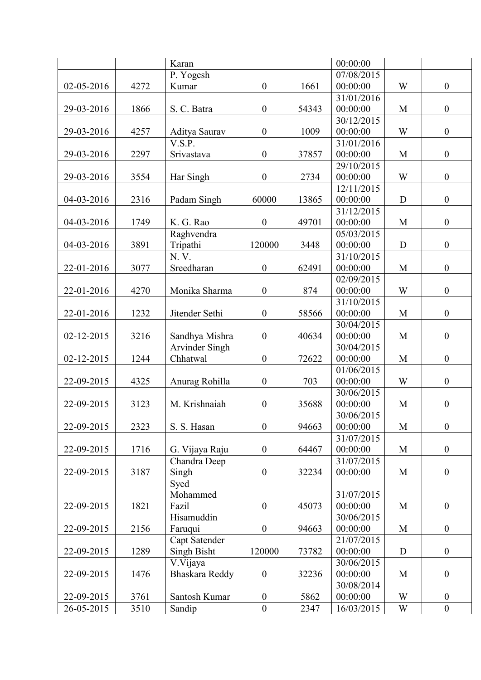|                  |      | Karan               |                  |       | 00:00:00               |   |                  |
|------------------|------|---------------------|------------------|-------|------------------------|---|------------------|
|                  |      | P. Yogesh           |                  |       | 07/08/2015             |   |                  |
| 02-05-2016       | 4272 | Kumar               | $\boldsymbol{0}$ | 1661  | 00:00:00               | W | $\boldsymbol{0}$ |
|                  |      |                     |                  |       | 31/01/2016             |   |                  |
| 29-03-2016       | 1866 | S. C. Batra         | $\boldsymbol{0}$ | 54343 | 00:00:00               | M | $\boldsymbol{0}$ |
|                  |      |                     |                  |       | 30/12/2015             |   |                  |
| 29-03-2016       | 4257 | Aditya Saurav       | $\boldsymbol{0}$ | 1009  | 00:00:00               | W | $\boldsymbol{0}$ |
|                  |      | V.S.P.              |                  |       | 31/01/2016             |   |                  |
| 29-03-2016       | 2297 | Srivastava          | $\boldsymbol{0}$ | 37857 | 00:00:00               | M | $\boldsymbol{0}$ |
|                  |      |                     |                  |       | 29/10/2015             |   |                  |
| 29-03-2016       | 3554 | Har Singh           | $\boldsymbol{0}$ | 2734  | 00:00:00               | W | $\boldsymbol{0}$ |
|                  |      |                     |                  |       | 12/11/2015             |   |                  |
| 04-03-2016       | 2316 | Padam Singh         | 60000            | 13865 | 00:00:00               | D | $\boldsymbol{0}$ |
|                  |      |                     |                  |       | 31/12/2015             |   |                  |
| 04-03-2016       | 1749 | K. G. Rao           | $\boldsymbol{0}$ | 49701 | 00:00:00               | M | $\boldsymbol{0}$ |
|                  |      | Raghvendra          |                  |       | 05/03/2015             |   |                  |
| 04-03-2016       | 3891 | Tripathi            | 120000           | 3448  | 00:00:00               | D | $\boldsymbol{0}$ |
|                  |      | N.V.                |                  |       | 31/10/2015             |   |                  |
| 22-01-2016       | 3077 | Sreedharan          | $\boldsymbol{0}$ | 62491 | 00:00:00               | M | $\boldsymbol{0}$ |
|                  |      |                     |                  |       | 02/09/2015             |   |                  |
| 22-01-2016       | 4270 | Monika Sharma       | $\boldsymbol{0}$ | 874   | 00:00:00               | W | $\boldsymbol{0}$ |
|                  |      |                     |                  |       | 31/10/2015             |   |                  |
| 22-01-2016       | 1232 | Jitender Sethi      | $\boldsymbol{0}$ | 58566 | 00:00:00               | M | $\boldsymbol{0}$ |
|                  |      |                     |                  |       | 30/04/2015             |   |                  |
| $02 - 12 - 2015$ | 3216 | Sandhya Mishra      | $\boldsymbol{0}$ | 40634 | 00:00:00               | M | $\boldsymbol{0}$ |
|                  |      | Arvinder Singh      |                  |       | 30/04/2015             |   |                  |
| 02-12-2015       | 1244 | Chhatwal            | $\boldsymbol{0}$ | 72622 | 00:00:00               | M | $\boldsymbol{0}$ |
|                  |      |                     |                  |       | 01/06/2015             |   |                  |
| 22-09-2015       | 4325 | Anurag Rohilla      | $\boldsymbol{0}$ | 703   | 00:00:00               | W | $\boldsymbol{0}$ |
|                  |      |                     |                  |       | 30/06/2015             |   |                  |
| 22-09-2015       | 3123 | M. Krishnaiah       | $\boldsymbol{0}$ | 35688 | 00:00:00               | M | $\boldsymbol{0}$ |
|                  |      |                     |                  |       | 30/06/2015             |   |                  |
| 22-09-2015       | 2323 | S. S. Hasan         | $\boldsymbol{0}$ | 94663 | 00:00:00               | M | $\boldsymbol{0}$ |
|                  |      |                     |                  |       | 31/07/2015             |   |                  |
| 22-09-2015       |      |                     | $\boldsymbol{0}$ |       | 00:00:00               |   | $\boldsymbol{0}$ |
|                  | 1716 | G. Vijaya Raju      |                  | 64467 |                        | M |                  |
|                  | 3187 | Chandra Deep        | $\boldsymbol{0}$ |       | 31/07/2015             |   |                  |
| 22-09-2015       |      | Singh               |                  | 32234 | 00:00:00               | M | $\boldsymbol{0}$ |
|                  |      | Syed                |                  |       |                        |   |                  |
|                  |      | Mohammed            | $\boldsymbol{0}$ |       | 31/07/2015<br>00:00:00 |   |                  |
| 22-09-2015       | 1821 | Fazil<br>Hisamuddin |                  | 45073 | 30/06/2015             | M | $\boldsymbol{0}$ |
|                  |      |                     |                  |       |                        |   |                  |
| 22-09-2015       | 2156 | Faruqui             | $\boldsymbol{0}$ | 94663 | 00:00:00<br>21/07/2015 | M | $\boldsymbol{0}$ |
|                  |      | Capt Satender       |                  |       |                        |   |                  |
| 22-09-2015       | 1289 | <b>Singh Bisht</b>  | 120000           | 73782 | 00:00:00               | D | $\boldsymbol{0}$ |
|                  |      | V.Vijaya            |                  |       | 30/06/2015             |   |                  |
| 22-09-2015       | 1476 | Bhaskara Reddy      | $\boldsymbol{0}$ | 32236 | 00:00:00               | M | $\boldsymbol{0}$ |
|                  |      |                     |                  |       | 30/08/2014             |   |                  |
| 22-09-2015       | 3761 | Santosh Kumar       | $\boldsymbol{0}$ | 5862  | 00:00:00               | W | $\boldsymbol{0}$ |
| 26-05-2015       | 3510 | Sandip              | $\mathbf{0}$     | 2347  | 16/03/2015             | W | $\boldsymbol{0}$ |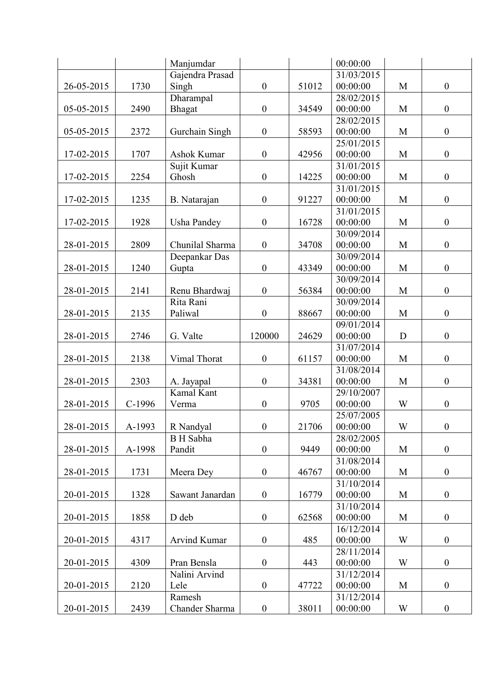|            |          | Manjumdar           |                  |       | 00:00:00             |   |                  |
|------------|----------|---------------------|------------------|-------|----------------------|---|------------------|
|            |          | Gajendra Prasad     |                  |       | 31/03/2015           |   |                  |
| 26-05-2015 | 1730     | Singh               | $\boldsymbol{0}$ | 51012 | 00:00:00             | M | $\boldsymbol{0}$ |
|            |          | Dharampal           |                  |       | 28/02/2015           |   |                  |
| 05-05-2015 | 2490     | Bhagat              | $\boldsymbol{0}$ | 34549 | 00:00:00             | M | $\boldsymbol{0}$ |
|            |          |                     |                  |       | 28/02/2015           |   |                  |
| 05-05-2015 | 2372     | Gurchain Singh      | $\boldsymbol{0}$ | 58593 | 00:00:00             | M | $\boldsymbol{0}$ |
|            |          |                     |                  |       | 25/01/2015           |   |                  |
| 17-02-2015 | 1707     | Ashok Kumar         | $\boldsymbol{0}$ | 42956 | 00:00:00             | M | $\boldsymbol{0}$ |
|            |          | Sujit Kumar         |                  |       | $\frac{31}{01}/2015$ |   |                  |
| 17-02-2015 | 2254     | Ghosh               | $\boldsymbol{0}$ | 14225 | 00:00:00             | M | $\boldsymbol{0}$ |
|            |          |                     |                  |       | 31/01/2015           |   |                  |
| 17-02-2015 | 1235     | B. Natarajan        | $\boldsymbol{0}$ | 91227 | 00:00:00             | M | $\boldsymbol{0}$ |
|            |          |                     |                  |       | 31/01/2015           |   |                  |
| 17-02-2015 | 1928     | <b>Usha Pandey</b>  | $\boldsymbol{0}$ | 16728 | 00:00:00             | M | $\boldsymbol{0}$ |
|            |          |                     |                  |       | 30/09/2014           |   |                  |
| 28-01-2015 | 2809     | Chunilal Sharma     | $\boldsymbol{0}$ | 34708 | 00:00:00             | M | $\boldsymbol{0}$ |
|            |          | Deepankar Das       |                  |       | 30/09/2014           |   |                  |
| 28-01-2015 | 1240     | Gupta               | $\boldsymbol{0}$ | 43349 | 00:00:00             | M | $\boldsymbol{0}$ |
|            |          |                     |                  |       | 30/09/2014           |   |                  |
|            |          |                     | $\boldsymbol{0}$ |       | 00:00:00             |   |                  |
| 28-01-2015 | 2141     | Renu Bhardwaj       |                  | 56384 |                      | M | $\boldsymbol{0}$ |
|            |          | Rita Rani           |                  |       | 30/09/2014           |   |                  |
| 28-01-2015 | 2135     | Paliwal             | $\boldsymbol{0}$ | 88667 | 00:00:00             | M | $\boldsymbol{0}$ |
|            |          |                     |                  |       | 09/01/2014           |   |                  |
| 28-01-2015 | 2746     | G. Valte            | 120000           | 24629 | 00:00:00             | D | $\boldsymbol{0}$ |
|            |          |                     |                  |       | 31/07/2014           |   |                  |
| 28-01-2015 | 2138     | Vimal Thorat        | $\boldsymbol{0}$ | 61157 | 00:00:00             | M | $\boldsymbol{0}$ |
|            |          |                     |                  |       | 31/08/2014           |   |                  |
| 28-01-2015 | 2303     | A. Jayapal          | $\boldsymbol{0}$ | 34381 | 00:00:00             | M | $\boldsymbol{0}$ |
|            |          | Kamal Kant          |                  |       | 29/10/2007           |   |                  |
| 28-01-2015 | $C-1996$ | Verma               | $\boldsymbol{0}$ | 9705  | 00:00:00             | W | $\boldsymbol{0}$ |
|            |          |                     |                  |       | 25/07/2005           |   |                  |
| 28-01-2015 | A-1993   | R Nandyal           | $\boldsymbol{0}$ | 21706 | 00:00:00             | W | $\boldsymbol{0}$ |
|            |          | <b>B</b> H Sabha    |                  |       | 28/02/2005           |   |                  |
| 28-01-2015 | A-1998   | Pandit              | $\boldsymbol{0}$ | 9449  | 00:00:00             | M | $\boldsymbol{0}$ |
|            |          |                     |                  |       | 31/08/2014           |   |                  |
| 28-01-2015 | 1731     | Meera Dey           | $\boldsymbol{0}$ | 46767 | 00:00:00             | M | $\boldsymbol{0}$ |
|            |          |                     |                  |       | 31/10/2014           |   |                  |
| 20-01-2015 | 1328     | Sawant Janardan     | $\boldsymbol{0}$ | 16779 | 00:00:00             | M | $\boldsymbol{0}$ |
|            |          |                     |                  |       | 31/10/2014           |   |                  |
| 20-01-2015 | 1858     | D deb               | $\boldsymbol{0}$ | 62568 | 00:00:00             | M | $\boldsymbol{0}$ |
|            |          |                     |                  |       | 16/12/2014           |   |                  |
| 20-01-2015 | 4317     | <b>Arvind Kumar</b> | $\boldsymbol{0}$ | 485   | 00:00:00             | W | $\boldsymbol{0}$ |
|            |          |                     |                  |       | 28/11/2014           |   |                  |
| 20-01-2015 | 4309     | Pran Bensla         | $\boldsymbol{0}$ | 443   | 00:00:00             | W | $\boldsymbol{0}$ |
|            |          | Nalini Arvind       |                  |       | 31/12/2014           |   |                  |
| 20-01-2015 | 2120     | Lele                | $\boldsymbol{0}$ | 47722 | 00:00:00             | M | $\boldsymbol{0}$ |
|            |          | Ramesh              |                  |       | 31/12/2014           |   |                  |
| 20-01-2015 | 2439     | Chander Sharma      | $\boldsymbol{0}$ | 38011 | 00:00:00             | W | $\boldsymbol{0}$ |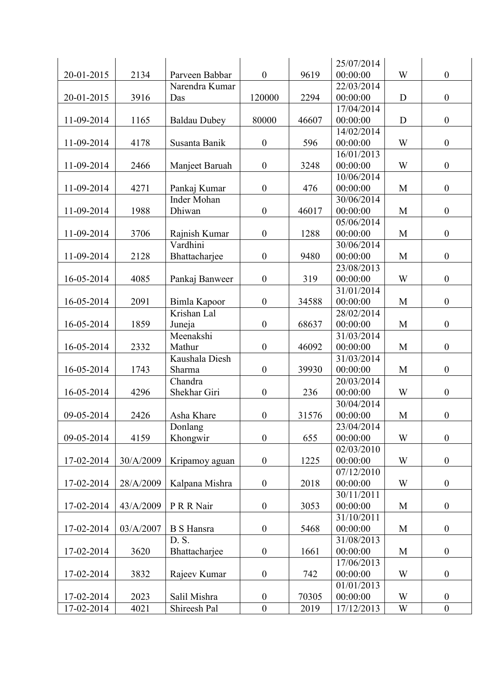|            |           |                     |                  |       | 25/07/2014 |   |                  |
|------------|-----------|---------------------|------------------|-------|------------|---|------------------|
| 20-01-2015 | 2134      | Parveen Babbar      | $\boldsymbol{0}$ | 9619  | 00:00:00   | W | $\boldsymbol{0}$ |
|            |           | Narendra Kumar      |                  |       | 22/03/2014 |   |                  |
| 20-01-2015 | 3916      | Das                 | 120000           | 2294  | 00:00:00   | D | $\boldsymbol{0}$ |
|            |           |                     |                  |       | 17/04/2014 |   |                  |
| 11-09-2014 | 1165      | <b>Baldau Dubey</b> | 80000            | 46607 | 00:00:00   | D | $\boldsymbol{0}$ |
|            |           |                     |                  |       | 14/02/2014 |   |                  |
| 11-09-2014 | 4178      | Susanta Banik       | $\overline{0}$   | 596   | 00:00:00   | W | $\boldsymbol{0}$ |
|            |           |                     |                  |       | 16/01/2013 |   |                  |
| 11-09-2014 | 2466      | Manjeet Baruah      | $\boldsymbol{0}$ | 3248  | 00:00:00   | W | $\boldsymbol{0}$ |
|            |           |                     |                  |       | 10/06/2014 |   |                  |
| 11-09-2014 | 4271      | Pankaj Kumar        | $\boldsymbol{0}$ | 476   | 00:00:00   | M | $\boldsymbol{0}$ |
|            |           | Inder Mohan         |                  |       | 30/06/2014 |   |                  |
| 11-09-2014 | 1988      | Dhiwan              | $\overline{0}$   | 46017 | 00:00:00   | M | $\boldsymbol{0}$ |
|            |           |                     |                  |       | 05/06/2014 |   |                  |
| 11-09-2014 | 3706      | Rajnish Kumar       | $\boldsymbol{0}$ | 1288  | 00:00:00   | M | $\boldsymbol{0}$ |
|            |           | Vardhini            |                  |       | 30/06/2014 |   |                  |
| 11-09-2014 | 2128      | Bhattacharjee       | $\boldsymbol{0}$ | 9480  | 00:00:00   | M | $\boldsymbol{0}$ |
|            |           |                     |                  |       | 23/08/2013 |   |                  |
| 16-05-2014 | 4085      | Pankaj Banweer      | $\boldsymbol{0}$ | 319   | 00:00:00   | W | $\boldsymbol{0}$ |
|            |           |                     |                  |       | 31/01/2014 |   |                  |
| 16-05-2014 | 2091      | Bimla Kapoor        | $\boldsymbol{0}$ | 34588 | 00:00:00   | M | $\boldsymbol{0}$ |
|            |           | Krishan Lal         |                  |       | 28/02/2014 |   |                  |
| 16-05-2014 | 1859      | Juneja              | $\boldsymbol{0}$ | 68637 | 00:00:00   | M | $\boldsymbol{0}$ |
|            |           | Meenakshi           |                  |       | 31/03/2014 |   |                  |
| 16-05-2014 | 2332      | Mathur              | $\boldsymbol{0}$ | 46092 | 00:00:00   | M | $\boldsymbol{0}$ |
|            |           | Kaushala Diesh      |                  |       | 31/03/2014 |   |                  |
| 16-05-2014 | 1743      | Sharma              | $\boldsymbol{0}$ | 39930 | 00:00:00   | M | $\boldsymbol{0}$ |
|            |           | Chandra             |                  |       | 20/03/2014 |   |                  |
| 16-05-2014 | 4296      | Shekhar Giri        | $\boldsymbol{0}$ | 236   | 00:00:00   | W | $\boldsymbol{0}$ |
|            |           |                     |                  |       | 30/04/2014 |   |                  |
| 09-05-2014 | 2426      | Asha Khare          | $\boldsymbol{0}$ | 31576 | 00:00:00   | M | $\boldsymbol{0}$ |
|            |           | Donlang             |                  |       | 23/04/2014 |   |                  |
| 09-05-2014 | 4159      | Khongwir            | $\boldsymbol{0}$ | 655   | 00:00:00   | W | $\boldsymbol{0}$ |
|            |           |                     |                  |       | 02/03/2010 |   |                  |
| 17-02-2014 | 30/A/2009 | Kripamoy aguan      | $\boldsymbol{0}$ | 1225  | 00:00:00   | W | $\boldsymbol{0}$ |
|            |           |                     |                  |       | 07/12/2010 |   |                  |
| 17-02-2014 | 28/A/2009 | Kalpana Mishra      | $\boldsymbol{0}$ | 2018  | 00:00:00   | W | $\boldsymbol{0}$ |
|            |           |                     |                  |       | 30/11/2011 |   |                  |
| 17-02-2014 | 43/A/2009 | P R R Nair          | $\boldsymbol{0}$ | 3053  | 00:00:00   | M | $\boldsymbol{0}$ |
|            |           |                     |                  |       | 31/10/2011 |   |                  |
| 17-02-2014 | 03/A/2007 | <b>B</b> S Hansra   | $\boldsymbol{0}$ | 5468  | 00:00:00   | M | $\boldsymbol{0}$ |
|            |           | D. S.               |                  |       | 31/08/2013 |   |                  |
| 17-02-2014 | 3620      | Bhattacharjee       | $\boldsymbol{0}$ | 1661  | 00:00:00   | M | $\boldsymbol{0}$ |
|            |           |                     |                  |       | 17/06/2013 |   |                  |
| 17-02-2014 | 3832      | Rajeev Kumar        | $\boldsymbol{0}$ | 742   | 00:00:00   | W | $\boldsymbol{0}$ |
|            |           |                     |                  |       | 01/01/2013 |   |                  |
| 17-02-2014 | 2023      | Salil Mishra        | $\boldsymbol{0}$ | 70305 | 00:00:00   | W | $\boldsymbol{0}$ |
| 17-02-2014 | 4021      | Shireesh Pal        | $\boldsymbol{0}$ | 2019  | 17/12/2013 | W | $\boldsymbol{0}$ |